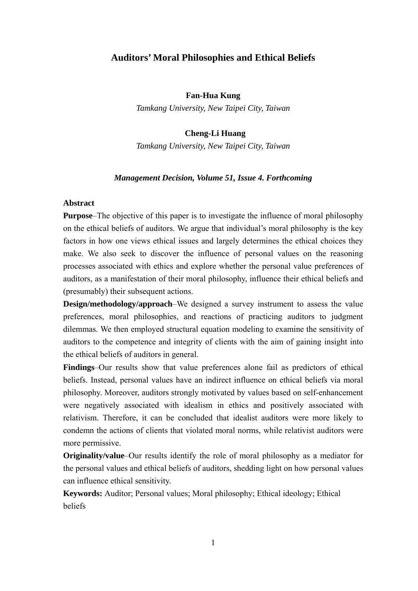# **Auditors' Moral Philosophies and Ethical Beliefs**

#### **Fan-Hua Kung**

*Tamkang University, New Taipei City, Taiwan* 

## **Cheng-Li Huang**

*Tamkang University, New Taipei City, Taiwan* 

#### *Management Decision, Volume 51, Issue 4. Forthcoming*

#### **Abstract**

**Purpose**–The objective of this paper is to investigate the influence of moral philosophy on the ethical beliefs of auditors. We argue that individual's moral philosophy is the key factors in how one views ethical issues and largely determines the ethical choices they make. We also seek to discover the influence of personal values on the reasoning processes associated with ethics and explore whether the personal value preferences of auditors, as a manifestation of their moral philosophy, influence their ethical beliefs and (presumably) their subsequent actions.

**Design/methodology/approach–We** designed a survey instrument to assess the value preferences, moral philosophies, and reactions of practicing auditors to judgment dilemmas. We then employed structural equation modeling to examine the sensitivity of auditors to the competence and integrity of clients with the aim of gaining insight into the ethical beliefs of auditors in general.

**Findings**–Our results show that value preferences alone fail as predictors of ethical beliefs. Instead, personal values have an indirect influence on ethical beliefs via moral philosophy. Moreover, auditors strongly motivated by values based on self-enhancement were negatively associated with idealism in ethics and positively associated with relativism. Therefore, it can be concluded that idealist auditors were more likely to condemn the actions of clients that violated moral norms, while relativist auditors were more permissive.

**Originality/value**–Our results identify the role of moral philosophy as a mediator for the personal values and ethical beliefs of auditors, shedding light on how personal values can influence ethical sensitivity.

**Keywords:** Auditor; Personal values; Moral philosophy; Ethical ideology; Ethical beliefs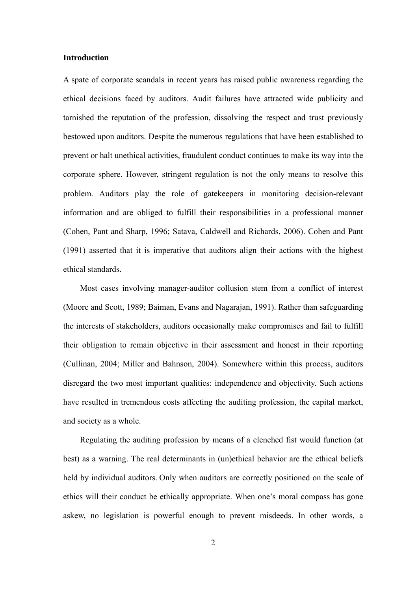# **Introduction**

A spate of corporate scandals in recent years has raised public awareness regarding the ethical decisions faced by auditors. Audit failures have attracted wide publicity and tarnished the reputation of the profession, dissolving the respect and trust previously bestowed upon auditors. Despite the numerous regulations that have been established to prevent or halt unethical activities, fraudulent conduct continues to make its way into the corporate sphere. However, stringent regulation is not the only means to resolve this problem. Auditors play the role of gatekeepers in monitoring decision-relevant information and are obliged to fulfill their responsibilities in a professional manner (Cohen, Pant and Sharp, 1996; Satava, Caldwell and Richards, 2006). Cohen and Pant (1991) asserted that it is imperative that auditors align their actions with the highest ethical standards.

 Most cases involving manager-auditor collusion stem from a conflict of interest (Moore and Scott, 1989; Baiman, Evans and Nagarajan, 1991). Rather than safeguarding the interests of stakeholders, auditors occasionally make compromises and fail to fulfill their obligation to remain objective in their assessment and honest in their reporting (Cullinan, 2004; Miller and Bahnson, 2004). Somewhere within this process, auditors disregard the two most important qualities: independence and objectivity. Such actions have resulted in tremendous costs affecting the auditing profession, the capital market, and society as a whole.

Regulating the auditing profession by means of a clenched fist would function (at best) as a warning. The real determinants in (un)ethical behavior are the ethical beliefs held by individual auditors. Only when auditors are correctly positioned on the scale of ethics will their conduct be ethically appropriate. When one's moral compass has gone askew, no legislation is powerful enough to prevent misdeeds. In other words, a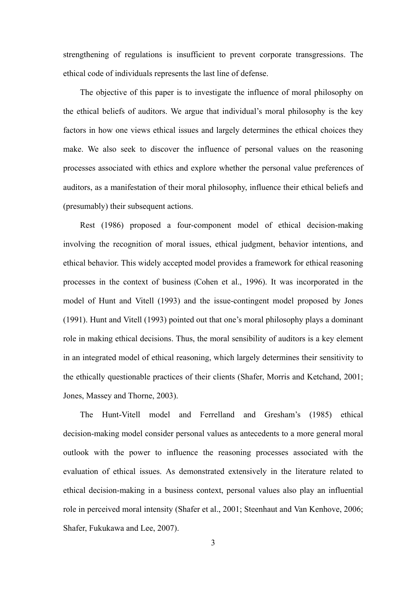strengthening of regulations is insufficient to prevent corporate transgressions. The ethical code of individuals represents the last line of defense.

The objective of this paper is to investigate the influence of moral philosophy on the ethical beliefs of auditors. We argue that individual's moral philosophy is the key factors in how one views ethical issues and largely determines the ethical choices they make. We also seek to discover the influence of personal values on the reasoning processes associated with ethics and explore whether the personal value preferences of auditors, as a manifestation of their moral philosophy, influence their ethical beliefs and (presumably) their subsequent actions.

Rest (1986) proposed a four-component model of ethical decision-making involving the recognition of moral issues, ethical judgment, behavior intentions, and ethical behavior. This widely accepted model provides a framework for ethical reasoning processes in the context of business (Cohen et al., 1996). It was incorporated in the model of Hunt and Vitell (1993) and the issue-contingent model proposed by Jones (1991). Hunt and Vitell (1993) pointed out that one's moral philosophy plays a dominant role in making ethical decisions. Thus, the moral sensibility of auditors is a key element in an integrated model of ethical reasoning, which largely determines their sensitivity to the ethically questionable practices of their clients (Shafer, Morris and Ketchand, 2001; Jones, Massey and Thorne, 2003).

The Hunt-Vitell model and Ferrelland and Gresham's (1985) ethical decision-making model consider personal values as antecedents to a more general moral outlook with the power to influence the reasoning processes associated with the evaluation of ethical issues. As demonstrated extensively in the literature related to ethical decision-making in a business context, personal values also play an influential role in perceived moral intensity (Shafer et al., 2001; Steenhaut and Van Kenhove, 2006; Shafer, Fukukawa and Lee, 2007).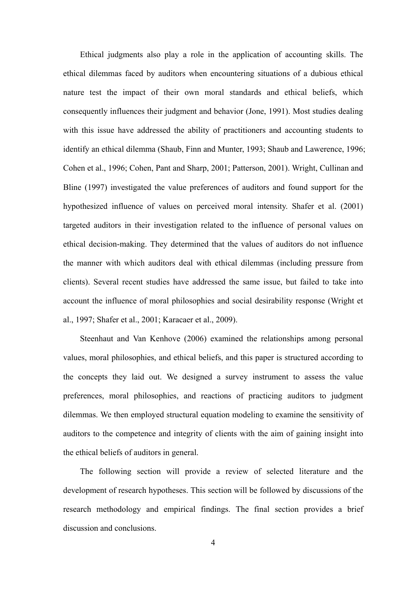Ethical judgments also play a role in the application of accounting skills. The ethical dilemmas faced by auditors when encountering situations of a dubious ethical nature test the impact of their own moral standards and ethical beliefs, which consequently influences their judgment and behavior (Jone, 1991). Most studies dealing with this issue have addressed the ability of practitioners and accounting students to identify an ethical dilemma (Shaub, Finn and Munter, 1993; Shaub and Lawerence, 1996; Cohen et al., 1996; Cohen, Pant and Sharp, 2001; Patterson, 2001). Wright, Cullinan and Bline (1997) investigated the value preferences of auditors and found support for the hypothesized influence of values on perceived moral intensity. Shafer et al. (2001) targeted auditors in their investigation related to the influence of personal values on ethical decision-making. They determined that the values of auditors do not influence the manner with which auditors deal with ethical dilemmas (including pressure from clients). Several recent studies have addressed the same issue, but failed to take into account the influence of moral philosophies and social desirability response (Wright et al., 1997; Shafer et al., 2001; Karacaer et al., 2009).

Steenhaut and Van Kenhove (2006) examined the relationships among personal values, moral philosophies, and ethical beliefs, and this paper is structured according to the concepts they laid out. We designed a survey instrument to assess the value preferences, moral philosophies, and reactions of practicing auditors to judgment dilemmas. We then employed structural equation modeling to examine the sensitivity of auditors to the competence and integrity of clients with the aim of gaining insight into the ethical beliefs of auditors in general.

The following section will provide a review of selected literature and the development of research hypotheses. This section will be followed by discussions of the research methodology and empirical findings. The final section provides a brief discussion and conclusions.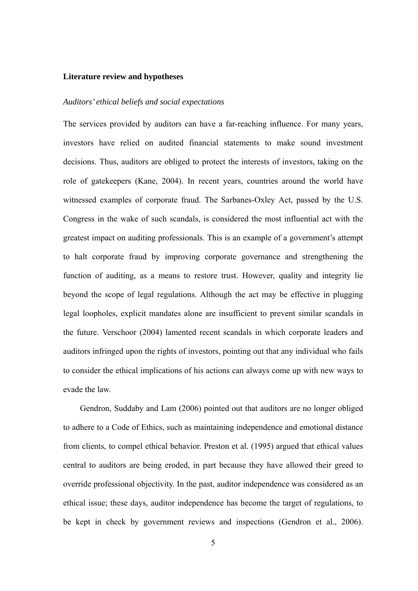#### **Literature review and hypotheses**

#### *Auditors' ethical beliefs and social expectations*

The services provided by auditors can have a far-reaching influence. For many years, investors have relied on audited financial statements to make sound investment decisions. Thus, auditors are obliged to protect the interests of investors, taking on the role of gatekeepers (Kane, 2004). In recent years, countries around the world have witnessed examples of corporate fraud. The Sarbanes-Oxley Act, passed by the U.S. Congress in the wake of such scandals, is considered the most influential act with the greatest impact on auditing professionals. This is an example of a government's attempt to halt corporate fraud by improving corporate governance and strengthening the function of auditing, as a means to restore trust. However, quality and integrity lie beyond the scope of legal regulations. Although the act may be effective in plugging legal loopholes, explicit mandates alone are insufficient to prevent similar scandals in the future. Verschoor (2004) lamented recent scandals in which corporate leaders and auditors infringed upon the rights of investors, pointing out that any individual who fails to consider the ethical implications of his actions can always come up with new ways to evade the law.

Gendron, Suddaby and Lam (2006) pointed out that auditors are no longer obliged to adhere to a Code of Ethics, such as maintaining independence and emotional distance from clients, to compel ethical behavior. Preston et al. (1995) argued that ethical values central to auditors are being eroded, in part because they have allowed their greed to override professional objectivity. In the past, auditor independence was considered as an ethical issue; these days, auditor independence has become the target of regulations, to be kept in check by government reviews and inspections (Gendron et al., 2006).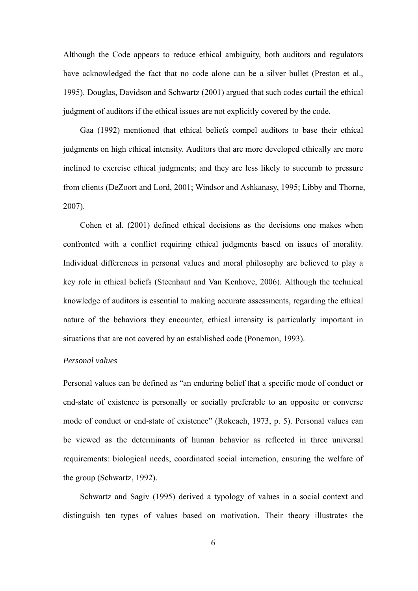Although the Code appears to reduce ethical ambiguity, both auditors and regulators have acknowledged the fact that no code alone can be a silver bullet (Preston et al., 1995). Douglas, Davidson and Schwartz (2001) argued that such codes curtail the ethical judgment of auditors if the ethical issues are not explicitly covered by the code.

Gaa (1992) mentioned that ethical beliefs compel auditors to base their ethical judgments on high ethical intensity. Auditors that are more developed ethically are more inclined to exercise ethical judgments; and they are less likely to succumb to pressure from clients (DeZoort and Lord, 2001; Windsor and Ashkanasy, 1995; Libby and Thorne, 2007).

Cohen et al. (2001) defined ethical decisions as the decisions one makes when confronted with a conflict requiring ethical judgments based on issues of morality. Individual differences in personal values and moral philosophy are believed to play a key role in ethical beliefs (Steenhaut and Van Kenhove, 2006). Although the technical knowledge of auditors is essential to making accurate assessments, regarding the ethical nature of the behaviors they encounter, ethical intensity is particularly important in situations that are not covered by an established code (Ponemon, 1993).

#### *Personal values*

Personal values can be defined as "an enduring belief that a specific mode of conduct or end-state of existence is personally or socially preferable to an opposite or converse mode of conduct or end-state of existence" (Rokeach, 1973, p. 5). Personal values can be viewed as the determinants of human behavior as reflected in three universal requirements: biological needs, coordinated social interaction, ensuring the welfare of the group (Schwartz, 1992).

Schwartz and Sagiv (1995) derived a typology of values in a social context and distinguish ten types of values based on motivation. Their theory illustrates the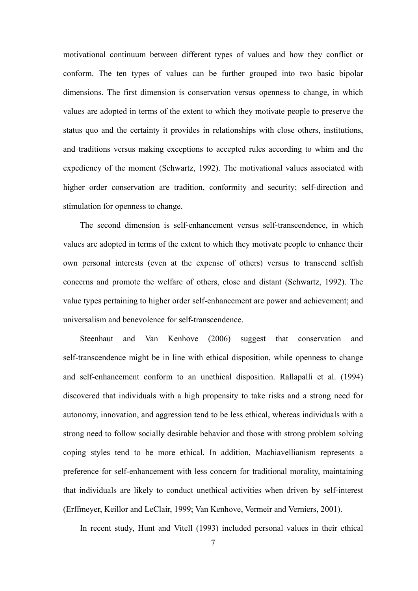motivational continuum between different types of values and how they conflict or conform. The ten types of values can be further grouped into two basic bipolar dimensions. The first dimension is conservation versus openness to change, in which values are adopted in terms of the extent to which they motivate people to preserve the status quo and the certainty it provides in relationships with close others, institutions, and traditions versus making exceptions to accepted rules according to whim and the expediency of the moment (Schwartz, 1992). The motivational values associated with higher order conservation are tradition, conformity and security; self-direction and stimulation for openness to change.

The second dimension is self-enhancement versus self-transcendence, in which values are adopted in terms of the extent to which they motivate people to enhance their own personal interests (even at the expense of others) versus to transcend selfish concerns and promote the welfare of others, close and distant (Schwartz, 1992). The value types pertaining to higher order self-enhancement are power and achievement; and universalism and benevolence for self-transcendence.

Steenhaut and Van Kenhove (2006) suggest that conservation and self-transcendence might be in line with ethical disposition, while openness to change and self-enhancement conform to an unethical disposition. Rallapalli et al. (1994) discovered that individuals with a high propensity to take risks and a strong need for autonomy, innovation, and aggression tend to be less ethical, whereas individuals with a strong need to follow socially desirable behavior and those with strong problem solving coping styles tend to be more ethical. In addition, Machiavellianism represents a preference for self-enhancement with less concern for traditional morality, maintaining that individuals are likely to conduct unethical activities when driven by self-interest (Erffmeyer, Keillor and LeClair, 1999; Van Kenhove, Vermeir and Verniers, 2001).

In recent study, Hunt and Vitell (1993) included personal values in their ethical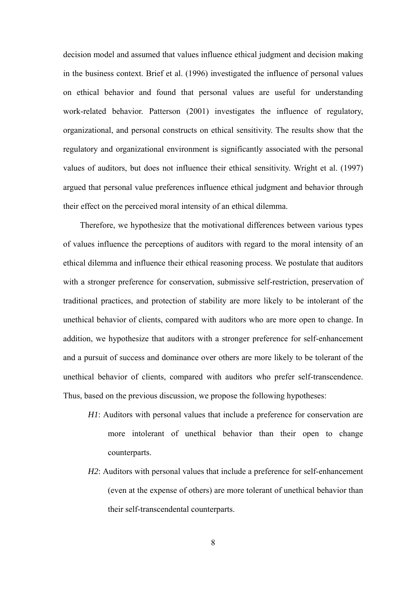decision model and assumed that values influence ethical judgment and decision making in the business context. Brief et al. (1996) investigated the influence of personal values on ethical behavior and found that personal values are useful for understanding work-related behavior. Patterson (2001) investigates the influence of regulatory, organizational, and personal constructs on ethical sensitivity. The results show that the regulatory and organizational environment is significantly associated with the personal values of auditors, but does not influence their ethical sensitivity. Wright et al. (1997) argued that personal value preferences influence ethical judgment and behavior through their effect on the perceived moral intensity of an ethical dilemma.

Therefore, we hypothesize that the motivational differences between various types of values influence the perceptions of auditors with regard to the moral intensity of an ethical dilemma and influence their ethical reasoning process. We postulate that auditors with a stronger preference for conservation, submissive self-restriction, preservation of traditional practices, and protection of stability are more likely to be intolerant of the unethical behavior of clients, compared with auditors who are more open to change. In addition, we hypothesize that auditors with a stronger preference for self-enhancement and a pursuit of success and dominance over others are more likely to be tolerant of the unethical behavior of clients, compared with auditors who prefer self-transcendence. Thus, based on the previous discussion, we propose the following hypotheses:

- *H1*: Auditors with personal values that include a preference for conservation are more intolerant of unethical behavior than their open to change counterparts.
- *H2*: Auditors with personal values that include a preference for self-enhancement (even at the expense of others) are more tolerant of unethical behavior than their self-transcendental counterparts.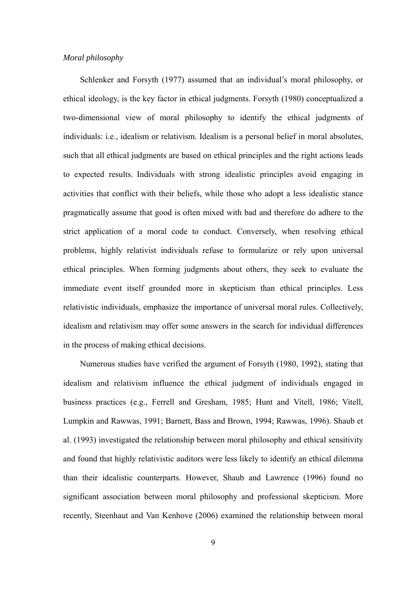## *Moral philosophy*

Schlenker and Forsyth (1977) assumed that an individual's moral philosophy, or ethical ideology, is the key factor in ethical judgments. Forsyth (1980) conceptualized a two-dimensional view of moral philosophy to identify the ethical judgments of individuals: i.e., idealism or relativism. Idealism is a personal belief in moral absolutes, such that all ethical judgments are based on ethical principles and the right actions leads to expected results. Individuals with strong idealistic principles avoid engaging in activities that conflict with their beliefs, while those who adopt a less idealistic stance pragmatically assume that good is often mixed with bad and therefore do adhere to the strict application of a moral code to conduct. Conversely, when resolving ethical problems, highly relativist individuals refuse to formularize or rely upon universal ethical principles. When forming judgments about others, they seek to evaluate the immediate event itself grounded more in skepticism than ethical principles. Less relativistic individuals, emphasize the importance of universal moral rules. Collectively, idealism and relativism may offer some answers in the search for individual differences in the process of making ethical decisions.

Numerous studies have verified the argument of Forsyth (1980, 1992), stating that idealism and relativism influence the ethical judgment of individuals engaged in business practices (e.g., Ferrell and Gresham, 1985; Hunt and Vitell, 1986; Vitell, Lumpkin and Rawwas, 1991; Barnett, Bass and Brown, 1994; Rawwas, 1996). Shaub et al. (1993) investigated the relationship between moral philosophy and ethical sensitivity and found that highly relativistic auditors were less likely to identify an ethical dilemma than their idealistic counterparts. However, Shaub and Lawrence (1996) found no significant association between moral philosophy and professional skepticism. More recently, Steenhaut and Van Kenhove (2006) examined the relationship between moral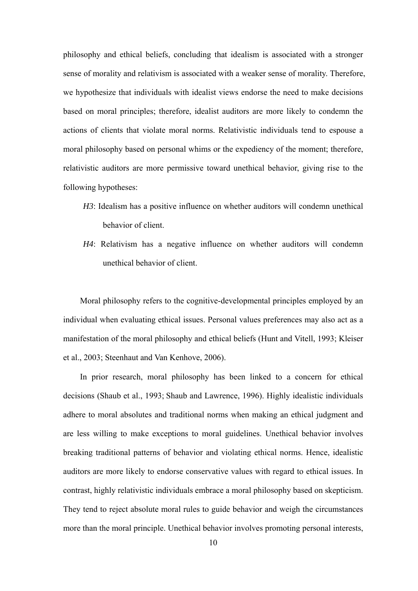philosophy and ethical beliefs, concluding that idealism is associated with a stronger sense of morality and relativism is associated with a weaker sense of morality. Therefore, we hypothesize that individuals with idealist views endorse the need to make decisions based on moral principles; therefore, idealist auditors are more likely to condemn the actions of clients that violate moral norms. Relativistic individuals tend to espouse a moral philosophy based on personal whims or the expediency of the moment; therefore, relativistic auditors are more permissive toward unethical behavior, giving rise to the following hypotheses:

- *H3*: Idealism has a positive influence on whether auditors will condemn unethical behavior of client.
- *H4*: Relativism has a negative influence on whether auditors will condemn unethical behavior of client.

Moral philosophy refers to the cognitive-developmental principles employed by an individual when evaluating ethical issues. Personal values preferences may also act as a manifestation of the moral philosophy and ethical beliefs (Hunt and Vitell, 1993; Kleiser et al., 2003; Steenhaut and Van Kenhove, 2006).

In prior research, moral philosophy has been linked to a concern for ethical decisions (Shaub et al., 1993; Shaub and Lawrence, 1996). Highly idealistic individuals adhere to moral absolutes and traditional norms when making an ethical judgment and are less willing to make exceptions to moral guidelines. Unethical behavior involves breaking traditional patterns of behavior and violating ethical norms. Hence, idealistic auditors are more likely to endorse conservative values with regard to ethical issues. In contrast, highly relativistic individuals embrace a moral philosophy based on skepticism. They tend to reject absolute moral rules to guide behavior and weigh the circumstances more than the moral principle. Unethical behavior involves promoting personal interests,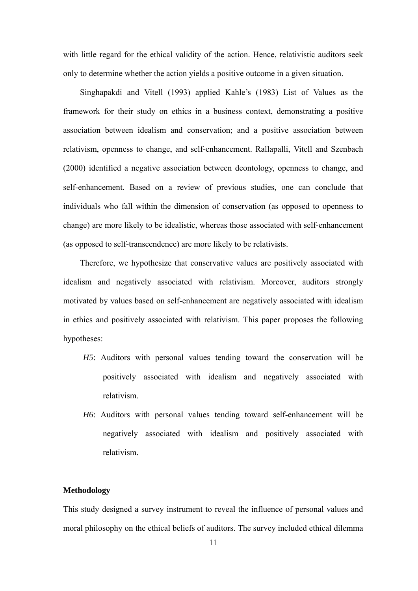with little regard for the ethical validity of the action. Hence, relativistic auditors seek only to determine whether the action yields a positive outcome in a given situation.

Singhapakdi and Vitell (1993) applied Kahle's (1983) List of Values as the framework for their study on ethics in a business context, demonstrating a positive association between idealism and conservation; and a positive association between relativism, openness to change, and self-enhancement. Rallapalli, Vitell and Szenbach (2000) identified a negative association between deontology, openness to change, and self-enhancement. Based on a review of previous studies, one can conclude that individuals who fall within the dimension of conservation (as opposed to openness to change) are more likely to be idealistic, whereas those associated with self-enhancement (as opposed to self-transcendence) are more likely to be relativists.

Therefore, we hypothesize that conservative values are positively associated with idealism and negatively associated with relativism. Moreover, auditors strongly motivated by values based on self-enhancement are negatively associated with idealism in ethics and positively associated with relativism. This paper proposes the following hypotheses:

- *H5*: Auditors with personal values tending toward the conservation will be positively associated with idealism and negatively associated with relativism.
- *H6*: Auditors with personal values tending toward self-enhancement will be negatively associated with idealism and positively associated with relativism.

## **Methodology**

This study designed a survey instrument to reveal the influence of personal values and moral philosophy on the ethical beliefs of auditors. The survey included ethical dilemma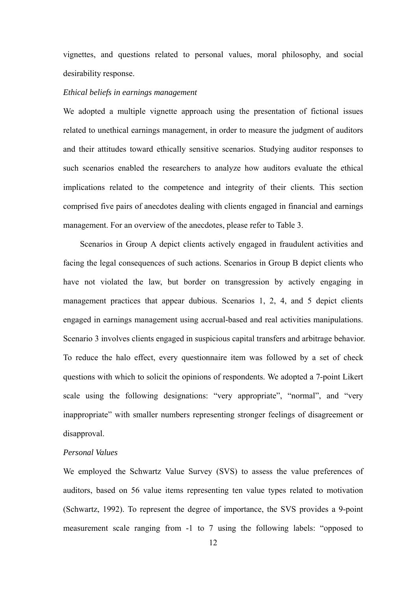vignettes, and questions related to personal values, moral philosophy, and social desirability response.

## *Ethical beliefs in earnings management*

We adopted a multiple vignette approach using the presentation of fictional issues related to unethical earnings management, in order to measure the judgment of auditors and their attitudes toward ethically sensitive scenarios. Studying auditor responses to such scenarios enabled the researchers to analyze how auditors evaluate the ethical implications related to the competence and integrity of their clients. This section comprised five pairs of anecdotes dealing with clients engaged in financial and earnings management. For an overview of the anecdotes, please refer to Table 3.

Scenarios in Group A depict clients actively engaged in fraudulent activities and facing the legal consequences of such actions. Scenarios in Group B depict clients who have not violated the law, but border on transgression by actively engaging in management practices that appear dubious. Scenarios 1, 2, 4, and 5 depict clients engaged in earnings management using accrual-based and real activities manipulations. Scenario 3 involves clients engaged in suspicious capital transfers and arbitrage behavior. To reduce the halo effect, every questionnaire item was followed by a set of check questions with which to solicit the opinions of respondents. We adopted a 7-point Likert scale using the following designations: "very appropriate", "normal", and "very inappropriate" with smaller numbers representing stronger feelings of disagreement or disapproval.

# *Personal Values*

We employed the Schwartz Value Survey (SVS) to assess the value preferences of auditors, based on 56 value items representing ten value types related to motivation (Schwartz, 1992). To represent the degree of importance, the SVS provides a 9-point measurement scale ranging from -1 to 7 using the following labels: "opposed to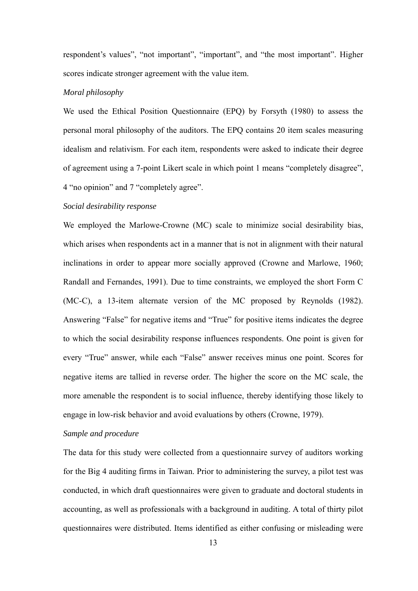respondent's values", "not important", "important", and "the most important". Higher scores indicate stronger agreement with the value item.

## *Moral philosophy*

We used the Ethical Position Questionnaire (EPQ) by Forsyth (1980) to assess the personal moral philosophy of the auditors. The EPQ contains 20 item scales measuring idealism and relativism. For each item, respondents were asked to indicate their degree of agreement using a 7-point Likert scale in which point 1 means "completely disagree", 4 "no opinion" and 7 "completely agree".

## *Social desirability response*

We employed the Marlowe-Crowne (MC) scale to minimize social desirability bias, which arises when respondents act in a manner that is not in alignment with their natural inclinations in order to appear more socially approved (Crowne and Marlowe, 1960; Randall and Fernandes, 1991). Due to time constraints, we employed the short Form C (MC-C), a 13-item alternate version of the MC proposed by Reynolds (1982). Answering "False" for negative items and "True" for positive items indicates the degree to which the social desirability response influences respondents. One point is given for every "True" answer, while each "False" answer receives minus one point. Scores for negative items are tallied in reverse order. The higher the score on the MC scale, the more amenable the respondent is to social influence, thereby identifying those likely to engage in low-risk behavior and avoid evaluations by others (Crowne, 1979).

## *Sample and procedure*

The data for this study were collected from a questionnaire survey of auditors working for the Big 4 auditing firms in Taiwan. Prior to administering the survey, a pilot test was conducted, in which draft questionnaires were given to graduate and doctoral students in accounting, as well as professionals with a background in auditing. A total of thirty pilot questionnaires were distributed. Items identified as either confusing or misleading were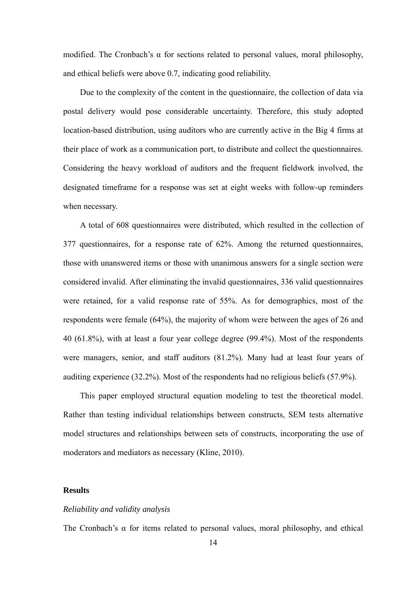modified. The Cronbach's  $\alpha$  for sections related to personal values, moral philosophy, and ethical beliefs were above 0.7, indicating good reliability.

Due to the complexity of the content in the questionnaire, the collection of data via postal delivery would pose considerable uncertainty. Therefore, this study adopted location-based distribution, using auditors who are currently active in the Big 4 firms at their place of work as a communication port, to distribute and collect the questionnaires. Considering the heavy workload of auditors and the frequent fieldwork involved, the designated timeframe for a response was set at eight weeks with follow-up reminders when necessary.

A total of 608 questionnaires were distributed, which resulted in the collection of 377 questionnaires, for a response rate of 62%. Among the returned questionnaires, those with unanswered items or those with unanimous answers for a single section were considered invalid. After eliminating the invalid questionnaires, 336 valid questionnaires were retained, for a valid response rate of 55%. As for demographics, most of the respondents were female (64%), the majority of whom were between the ages of 26 and 40 (61.8%), with at least a four year college degree (99.4%). Most of the respondents were managers, senior, and staff auditors (81.2%). Many had at least four years of auditing experience (32.2%). Most of the respondents had no religious beliefs (57.9%).

This paper employed structural equation modeling to test the theoretical model. Rather than testing individual relationships between constructs, SEM tests alternative model structures and relationships between sets of constructs, incorporating the use of moderators and mediators as necessary (Kline, 2010).

## **Results**

## *Reliability and validity analysis*

The Cronbach's α for items related to personal values, moral philosophy, and ethical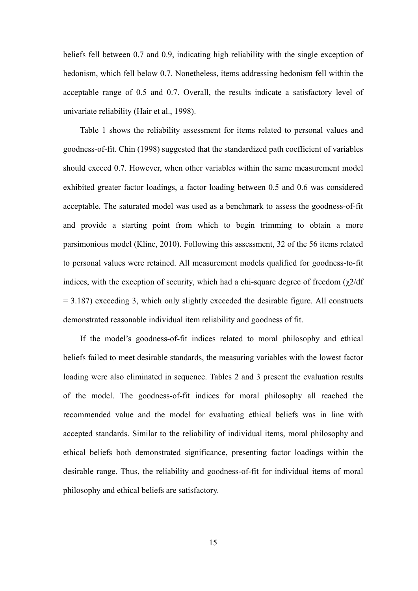beliefs fell between 0.7 and 0.9, indicating high reliability with the single exception of hedonism, which fell below 0.7. Nonetheless, items addressing hedonism fell within the acceptable range of 0.5 and 0.7. Overall, the results indicate a satisfactory level of univariate reliability (Hair et al., 1998).

Table 1 shows the reliability assessment for items related to personal values and goodness-of-fit. Chin (1998) suggested that the standardized path coefficient of variables should exceed 0.7. However, when other variables within the same measurement model exhibited greater factor loadings, a factor loading between 0.5 and 0.6 was considered acceptable. The saturated model was used as a benchmark to assess the goodness-of-fit and provide a starting point from which to begin trimming to obtain a more parsimonious model (Kline, 2010). Following this assessment, 32 of the 56 items related to personal values were retained. All measurement models qualified for goodness-to-fit indices, with the exception of security, which had a chi-square degree of freedom  $(\gamma 2/df)$  $= 3.187$ ) exceeding 3, which only slightly exceeded the desirable figure. All constructs demonstrated reasonable individual item reliability and goodness of fit.

If the model's goodness-of-fit indices related to moral philosophy and ethical beliefs failed to meet desirable standards, the measuring variables with the lowest factor loading were also eliminated in sequence. Tables 2 and 3 present the evaluation results of the model. The goodness-of-fit indices for moral philosophy all reached the recommended value and the model for evaluating ethical beliefs was in line with accepted standards. Similar to the reliability of individual items, moral philosophy and ethical beliefs both demonstrated significance, presenting factor loadings within the desirable range. Thus, the reliability and goodness-of-fit for individual items of moral philosophy and ethical beliefs are satisfactory.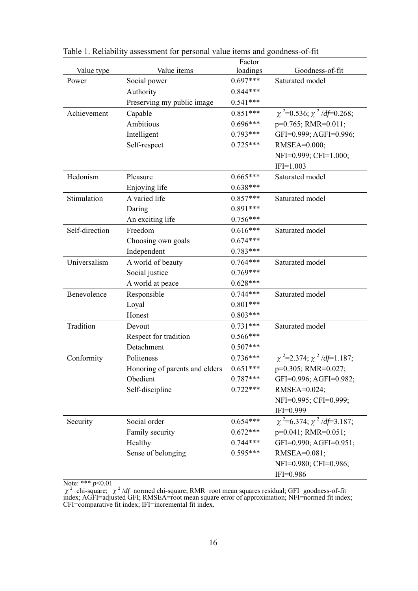|                |                                | Factor     |                                      |
|----------------|--------------------------------|------------|--------------------------------------|
| Value type     | Value items                    | loadings   | Goodness-of-fit                      |
| Power          | Social power                   | $0.697***$ | Saturated model                      |
|                | Authority                      | $0.844***$ |                                      |
|                | Preserving my public image     | $0.541***$ |                                      |
| Achievement    | Capable                        | $0.851***$ | $\chi^2$ =0.536; $\chi^2$ /df=0.268; |
|                | Ambitious                      | $0.696***$ | $p=0.765$ ; RMR=0.011;               |
|                | Intelligent                    | $0.793***$ | GFI=0.999; AGFI=0.996;               |
|                | Self-respect                   | $0.725***$ | RMSEA=0.000;                         |
|                |                                |            | NFI=0.999; CFI=1.000;                |
|                |                                |            | $IFI=1.003$                          |
| Hedonism       | Pleasure                       | $0.665***$ | Saturated model                      |
|                | Enjoying life                  | $0.638***$ |                                      |
| Stimulation    | A varied life                  | $0.857***$ | Saturated model                      |
|                | Daring                         | $0.891***$ |                                      |
|                | An exciting life               | $0.756***$ |                                      |
| Self-direction | Freedom                        | $0.616***$ | Saturated model                      |
|                | Choosing own goals             | $0.674***$ |                                      |
|                | Independent                    | $0.783***$ |                                      |
| Universalism   | A world of beauty              | $0.764***$ | Saturated model                      |
|                | Social justice                 | $0.769***$ |                                      |
|                | A world at peace               | $0.628***$ |                                      |
| Benevolence    | Responsible                    | $0.744***$ | Saturated model                      |
|                | Loyal                          | $0.801***$ |                                      |
|                | Honest                         | $0.803***$ |                                      |
| Tradition      | Devout                         | $0.731***$ | Saturated model                      |
|                | Respect for tradition          | $0.566***$ |                                      |
|                | Detachment                     | $0.507***$ |                                      |
| Conformity     | Politeness                     | $0.736***$ | $\chi^2$ =2.374; $\chi^2$ /df=1.187; |
|                | Honoring of parents and elders | $0.651***$ | p=0.305; RMR=0.027;                  |
|                | Obedient                       | $0.787***$ | GFI=0.996; AGFI=0.982;               |
|                | Self-discipline                | $0.722***$ | RMSEA=0.024;                         |
|                |                                |            | NFI=0.995; CFI=0.999;                |
|                |                                |            | $IFI=0.999$                          |
| Security       | Social order                   | $0.654***$ | $\chi^2$ =6.374; $\chi^2$ /df=3.187; |
|                | Family security                | $0.672***$ | $p=0.041$ ; RMR=0.051;               |
|                | Healthy                        | $0.744***$ | GFI=0.990; AGFI=0.951;               |
|                | Sense of belonging             | $0.595***$ | RMSEA=0.081;                         |
|                |                                |            | NFI=0.980; CFI=0.986;                |
|                |                                |            | $IFI=0.986$                          |

Table 1. Reliability assessment for personal value items and goodness-of-fit

Note: \*\*\* *p*<0.01

χ<sup>2</sup> =chi-square; χ<sup>2</sup> /*df*=normed chi-square; RMR=root mean squares residual; GFI=goodness-of-fit index; AGFI=adjusted GFI; RMSEA=root mean square error of approximation; NFI=normed fit index; CFI=comparative fit index; IFI=incremental fit index.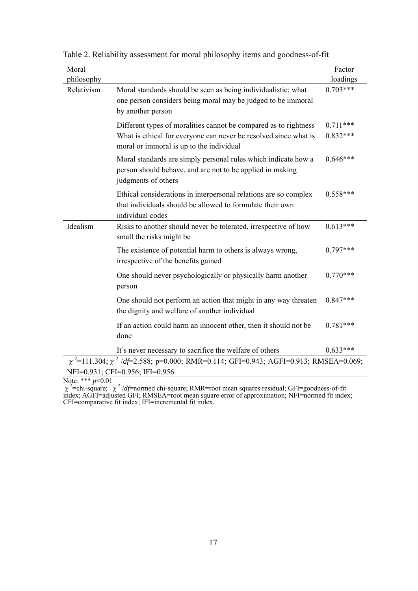| Moral<br>philosophy    |                                                                                                                                                                                  | Factor<br>loadings       |
|------------------------|----------------------------------------------------------------------------------------------------------------------------------------------------------------------------------|--------------------------|
| Relativism             | Moral standards should be seen as being individualistic; what<br>one person considers being moral may be judged to be immoral<br>by another person                               | $0.703***$               |
|                        | Different types of moralities cannot be compared as to rightness<br>What is ethical for everyone can never be resolved since what is<br>moral or immoral is up to the individual | $0.711***$<br>$0.832***$ |
|                        | Moral standards are simply personal rules which indicate how a<br>person should behave, and are not to be applied in making<br>judgments of others                               | $0.646***$               |
|                        | Ethical considerations in interpersonal relations are so complex<br>that individuals should be allowed to formulate their own<br>individual codes                                | $0.558***$               |
| Idealism               | Risks to another should never be tolerated, irrespective of how<br>small the risks might be                                                                                      | $0.613***$               |
|                        | The existence of potential harm to others is always wrong,<br>irrespective of the benefits gained                                                                                | $0.797***$               |
|                        | One should never psychologically or physically harm another<br>person                                                                                                            | $0.770***$               |
|                        | One should not perform an action that might in any way threaten<br>the dignity and welfare of another individual                                                                 | $0.847***$               |
|                        | If an action could harm an innocent other, then it should not be<br>done                                                                                                         | $0.781***$               |
|                        | It's never necessary to sacrifice the welfare of others                                                                                                                          | $0.633***$               |
|                        | $\chi$ <sup>2</sup> =111.304; $\chi$ <sup>2</sup> /df=2.588; p=0.000; RMR=0.114; GFI=0.943; AGFI=0.913; RMSEA=0.069;                                                             |                          |
| $N_{0}$ te: *** n<0.01 | NFI=0.931; CFI=0.956; IFI=0.956                                                                                                                                                  |                          |

Table 2. Reliability assessment for moral philosophy items and goodness-of-fit

Note: \*\*\* *p*<0.01

χ<sup>2</sup> =chi-square; χ<sup>2</sup> /*df*=normed chi-square; RMR=root mean squares residual; GFI=goodness-of-fit index; AGFI=adjusted GFI; RMSEA=root mean square error of approximation; NFI=normed fit index; CFI=comparative fit index; IFI=incremental fit index.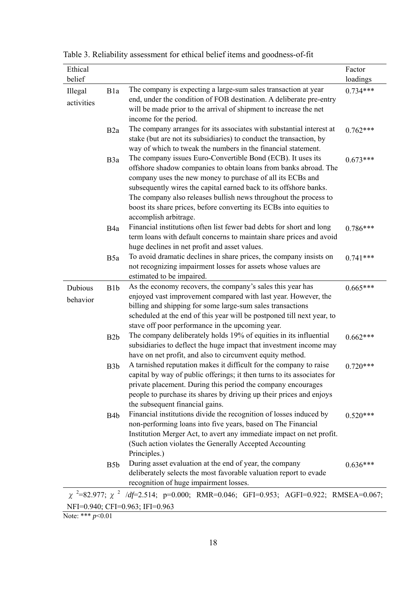| Ethical<br>belief             |                  |                                                                                                                                                                                                                                                                                                                                                                                                                                        | Factor<br>loadings |
|-------------------------------|------------------|----------------------------------------------------------------------------------------------------------------------------------------------------------------------------------------------------------------------------------------------------------------------------------------------------------------------------------------------------------------------------------------------------------------------------------------|--------------------|
| Illegal<br>activities         | B1a              | The company is expecting a large-sum sales transaction at year<br>end, under the condition of FOB destination. A deliberate pre-entry<br>will be made prior to the arrival of shipment to increase the net<br>income for the period.                                                                                                                                                                                                   | $0.734***$         |
|                               | B <sub>2</sub> a | The company arranges for its associates with substantial interest at<br>stake (but are not its subsidiaries) to conduct the transaction, by<br>way of which to tweak the numbers in the financial statement.                                                                                                                                                                                                                           | $0.762***$         |
|                               | B <sub>3</sub> a | The company issues Euro-Convertible Bond (ECB). It uses its<br>offshore shadow companies to obtain loans from banks abroad. The<br>company uses the new money to purchase of all its ECBs and<br>subsequently wires the capital earned back to its offshore banks.<br>The company also releases bullish news throughout the process to<br>boost its share prices, before converting its ECBs into equities to<br>accomplish arbitrage. | $0.673***$         |
|                               | B <sub>4</sub> a | Financial institutions often list fewer bad debts for short and long<br>term loans with default concerns to maintain share prices and avoid<br>huge declines in net profit and asset values.                                                                                                                                                                                                                                           | $0.786***$         |
|                               | B <sub>5a</sub>  | To avoid dramatic declines in share prices, the company insists on<br>not recognizing impairment losses for assets whose values are<br>estimated to be impaired.                                                                                                                                                                                                                                                                       | $0.741***$         |
| Dubious<br>behavior           | B <sub>1</sub> b | As the economy recovers, the company's sales this year has<br>enjoyed vast improvement compared with last year. However, the<br>billing and shipping for some large-sum sales transactions<br>scheduled at the end of this year will be postponed till next year, to<br>stave off poor performance in the upcoming year.                                                                                                               | $0.665***$         |
|                               | B <sub>2</sub> b | The company deliberately holds 19% of equities in its influential<br>subsidiaries to deflect the huge impact that investment income may<br>have on net profit, and also to circumvent equity method.                                                                                                                                                                                                                                   | $0.662***$         |
|                               | B <sub>3</sub> b | A tarnished reputation makes it difficult for the company to raise<br>capital by way of public offerings; it then turns to its associates for<br>private placement. During this period the company encourages<br>people to purchase its shares by driving up their prices and enjoys<br>the subsequent financial gains.                                                                                                                | $0.720***$         |
|                               | B <sub>4</sub> b | Financial institutions divide the recognition of losses induced by<br>non-performing loans into five years, based on The Financial<br>Institution Merger Act, to avert any immediate impact on net profit.<br>(Such action violates the Generally Accepted Accounting<br>Principles.)                                                                                                                                                  | $0.520***$         |
|                               | B <sub>5</sub> b | During asset evaluation at the end of year, the company<br>deliberately selects the most favorable valuation report to evade<br>recognition of huge impairment losses.                                                                                                                                                                                                                                                                 | $0.636***$         |
|                               |                  | $\chi$ <sup>2</sup> =82.977; $\chi$ <sup>2</sup> /df=2.514; p=0.000; RMR=0.046; GFI=0.953; AGFI=0.922; RMSEA=0.067;                                                                                                                                                                                                                                                                                                                    |                    |
| $\text{Moto}:$ *** $n < 0.01$ |                  | NFI=0.940; CFI=0.963; IFI=0.963                                                                                                                                                                                                                                                                                                                                                                                                        |                    |

Table 3. Reliability assessment for ethical belief items and goodness-of-fit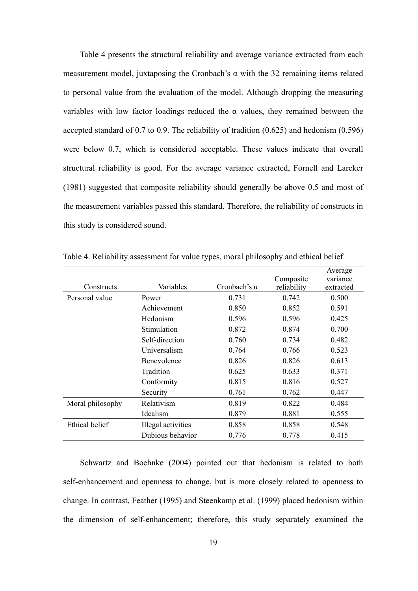Table 4 presents the structural reliability and average variance extracted from each measurement model, juxtaposing the Cronbach's  $\alpha$  with the 32 remaining items related to personal value from the evaluation of the model. Although dropping the measuring variables with low factor loadings reduced the  $\alpha$  values, they remained between the accepted standard of 0.7 to 0.9. The reliability of tradition (0.625) and hedonism (0.596) were below 0.7, which is considered acceptable. These values indicate that overall structural reliability is good. For the average variance extracted, Fornell and Larcker (1981) suggested that composite reliability should generally be above 0.5 and most of the measurement variables passed this standard. Therefore, the reliability of constructs in this study is considered sound.

| Constructs            | Variables          | Cronbach's $\alpha$ | Composite<br>reliability | Average<br>variance<br>extracted |
|-----------------------|--------------------|---------------------|--------------------------|----------------------------------|
| Personal value        | Power              | 0.731               | 0.742                    | 0.500                            |
|                       | Achievement        | 0.850               | 0.852                    | 0.591                            |
|                       | Hedonism           | 0.596               | 0.596                    | 0.425                            |
|                       | <b>Stimulation</b> | 0.872               | 0.874                    | 0.700                            |
|                       | Self-direction     | 0.760               | 0.734                    | 0.482                            |
|                       | Universalism       | 0.764               | 0.766                    | 0.523                            |
|                       | Benevolence        | 0.826               | 0.826                    | 0.613                            |
|                       | Tradition          | 0.625               | 0.633                    | 0.371                            |
|                       | Conformity         | 0.815               | 0.816                    | 0.527                            |
|                       | Security           | 0.761               | 0.762                    | 0.447                            |
| Moral philosophy      | Relativism         | 0.819               | 0.822                    | 0.484                            |
|                       | Idealism           | 0.879               | 0.881                    | 0.555                            |
| <b>Ethical belief</b> | Illegal activities | 0.858               | 0.858                    | 0.548                            |
|                       | Dubious behavior   | 0.776               | 0.778                    | 0.415                            |

Table 4. Reliability assessment for value types, moral philosophy and ethical belief

Schwartz and Boehnke (2004) pointed out that hedonism is related to both self-enhancement and openness to change, but is more closely related to openness to change. In contrast, Feather (1995) and Steenkamp et al. (1999) placed hedonism within the dimension of self-enhancement; therefore, this study separately examined the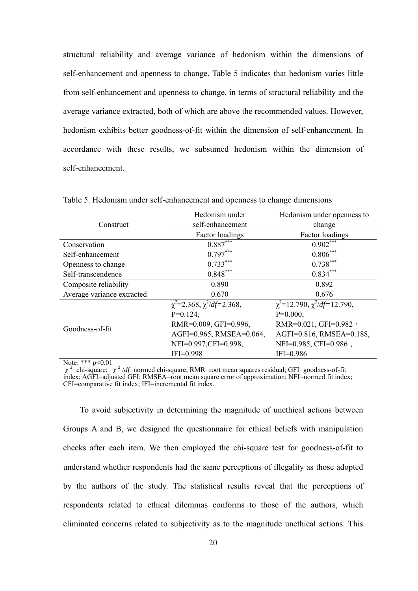structural reliability and average variance of hedonism within the dimensions of self-enhancement and openness to change. Table 5 indicates that hedonism varies little from self-enhancement and openness to change, in terms of structural reliability and the average variance extracted, both of which are above the recommended values. However, hedonism exhibits better goodness-of-fit within the dimension of self-enhancement. In accordance with these results, we subsumed hedonism within the dimension of self-enhancement.

|                            | Hedonism under                       | Hedonism under openness to             |  |  |
|----------------------------|--------------------------------------|----------------------------------------|--|--|
| Construct                  | self-enhancement                     | change                                 |  |  |
|                            | Factor loadings                      | Factor loadings                        |  |  |
| Conservation               | $0.887***$                           | $0.902***$                             |  |  |
| Self-enhancement           | $0.797***$                           | $0.806***$                             |  |  |
| Openness to change         | $0.733***$                           | $0.738***$                             |  |  |
| Self-transcendence         | $0.848***$                           | $0.834***$                             |  |  |
| Composite reliability      | 0.890                                | 0.892                                  |  |  |
| Average variance extracted | 0.670                                | 0.676                                  |  |  |
|                            | $\chi^2$ =2.368, $\chi^2/df$ =2.368, | $\chi^2$ =12.790, $\chi^2/df$ =12.790, |  |  |
|                            | $P=0.124$ ,                          | $P=0.000,$                             |  |  |
| Goodness-of-fit            | RMR=0.009, GFI=0.996,                | RMR= $0.021$ , GFI= $0.982$ ,          |  |  |
|                            | AGFI=0.965, RMSEA=0.064,             | AGFI=0.816, RMSEA=0.188,               |  |  |
|                            | NFI=0.997,CFI=0.998,                 | NFI=0.985, CFI=0.986,                  |  |  |
|                            | $IFI=0.998$                          | $IFI=0.986$                            |  |  |

Table 5. Hedonism under self-enhancement and openness to change dimensions

Note: \*\*\* *p*<0.01

χ<sup>2</sup> =chi-square; χ<sup>2</sup> /*df*=normed chi-square; RMR=root mean squares residual; GFI=goodness-of-fit index; AGFI=adjusted GFI; RMSEA=root mean square error of approximation; NFI=normed fit index; CFI=comparative fit index; IFI=incremental fit index.

To avoid subjectivity in determining the magnitude of unethical actions between Groups A and B, we designed the questionnaire for ethical beliefs with manipulation checks after each item. We then employed the chi-square test for goodness-of-fit to understand whether respondents had the same perceptions of illegality as those adopted by the authors of the study. The statistical results reveal that the perceptions of respondents related to ethical dilemmas conforms to those of the authors, which eliminated concerns related to subjectivity as to the magnitude unethical actions. This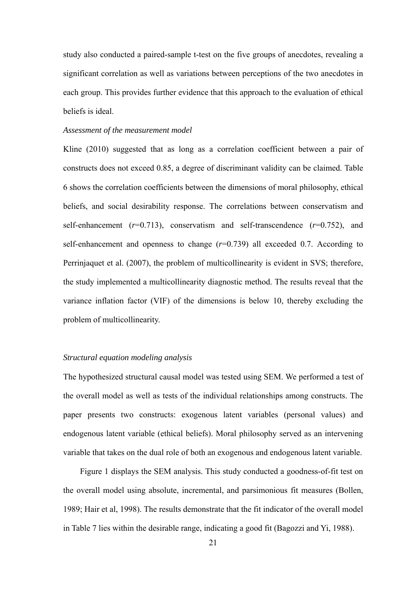study also conducted a paired-sample t-test on the five groups of anecdotes, revealing a significant correlation as well as variations between perceptions of the two anecdotes in each group. This provides further evidence that this approach to the evaluation of ethical beliefs is ideal.

## *Assessment of the measurement model*

Kline (2010) suggested that as long as a correlation coefficient between a pair of constructs does not exceed 0.85, a degree of discriminant validity can be claimed. Table 6 shows the correlation coefficients between the dimensions of moral philosophy, ethical beliefs, and social desirability response. The correlations between conservatism and self-enhancement (*r*=0.713), conservatism and self-transcendence (*r*=0.752), and self-enhancement and openness to change  $(r=0.739)$  all exceeded 0.7. According to Perrinjaquet et al. (2007), the problem of multicollinearity is evident in SVS; therefore, the study implemented a multicollinearity diagnostic method. The results reveal that the variance inflation factor (VIF) of the dimensions is below 10, thereby excluding the problem of multicollinearity.

## *Structural equation modeling analysis*

The hypothesized structural causal model was tested using SEM. We performed a test of the overall model as well as tests of the individual relationships among constructs. The paper presents two constructs: exogenous latent variables (personal values) and endogenous latent variable (ethical beliefs). Moral philosophy served as an intervening variable that takes on the dual role of both an exogenous and endogenous latent variable.

 Figure 1 displays the SEM analysis. This study conducted a goodness-of-fit test on the overall model using absolute, incremental, and parsimonious fit measures (Bollen, 1989; Hair et al, 1998). The results demonstrate that the fit indicator of the overall model in Table 7 lies within the desirable range, indicating a good fit (Bagozzi and Yi, 1988).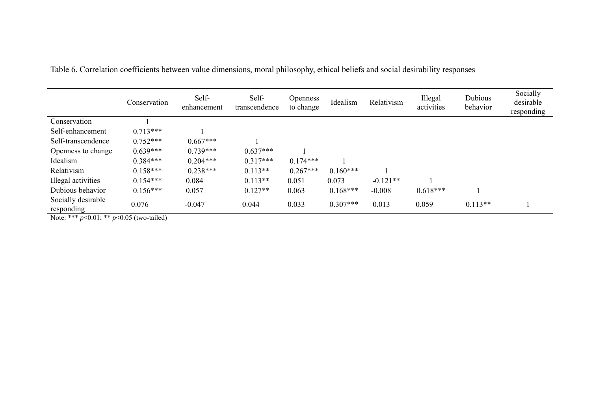|                                  | Conservation | Self-<br>enhancement | Self-<br>transcendence | <b>Openness</b><br>to change | Idealism   | Relativism | Illegal<br>activities | Dubious<br>behavior | Socially<br>desirable<br>responding |
|----------------------------------|--------------|----------------------|------------------------|------------------------------|------------|------------|-----------------------|---------------------|-------------------------------------|
| Conservation                     |              |                      |                        |                              |            |            |                       |                     |                                     |
| Self-enhancement                 | $0.713***$   |                      |                        |                              |            |            |                       |                     |                                     |
| Self-transcendence               | $0.752***$   | $0.667***$           |                        |                              |            |            |                       |                     |                                     |
| Openness to change               | $0.639***$   | $0.739***$           | $0.637***$             |                              |            |            |                       |                     |                                     |
| Idealism                         | $0.384***$   | $0.204***$           | $0.317***$             | $0.174***$                   |            |            |                       |                     |                                     |
| Relativism                       | $0.158***$   | $0.238***$           | $0.113**$              | $0.267***$                   | $0.160***$ |            |                       |                     |                                     |
| Illegal activities               | $0.154***$   | 0.084                | $0.113**$              | 0.051                        | 0.073      | $-0.121**$ |                       |                     |                                     |
| Dubious behavior                 | $0.156***$   | 0.057                | $0.127**$              | 0.063                        | $0.168***$ | $-0.008$   | $0.618***$            |                     |                                     |
| Socially desirable<br>responding | 0.076        | $-0.047$             | 0.044                  | 0.033                        | $0.307***$ | 0.013      | 0.059                 | $0.113**$           |                                     |

Table 6. Correlation coefficients between value dimensions, moral philosophy, ethical beliefs and social desirability responses

Note: \*\*\* *p*<0.01; \*\* *p*<0.05 (two-tailed)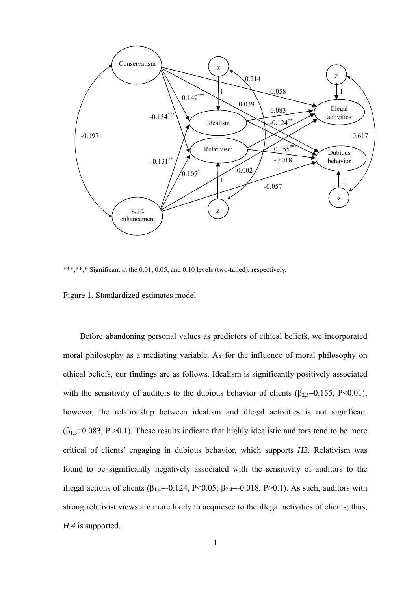

\*\*\*,\*\*,\* Significant at the 0.01, 0.05, and 0.10 levels (two-tailed), respectively.

#### Figure 1. Standardized estimates model

Before abandoning personal values as predictors of ethical beliefs, we incorporated moral philosophy as a mediating variable. As for the influence of moral philosophy on ethical beliefs, our findings are as follows. Idealism is significantly positively associated with the sensitivity of auditors to the dubious behavior of clients ( $\beta_{2,3}=0.155$ , P<0.01); however, the relationship between idealism and illegal activities is not significant  $(\beta_{1,3}=0.083, P>0.1)$ . These results indicate that highly idealistic auditors tend to be more critical of clients' engaging in dubious behavior, which supports *H3*. Relativism was found to be significantly negatively associated with the sensitivity of auditors to the illegal actions of clients ( $\beta_{1,4}$ =-0.124, P<0.05;  $\beta_{2,4}$ =-0.018, P>0.1). As such, auditors with strong relativist views are more likely to acquiesce to the illegal activities of clients; thus, *H 4* is supported.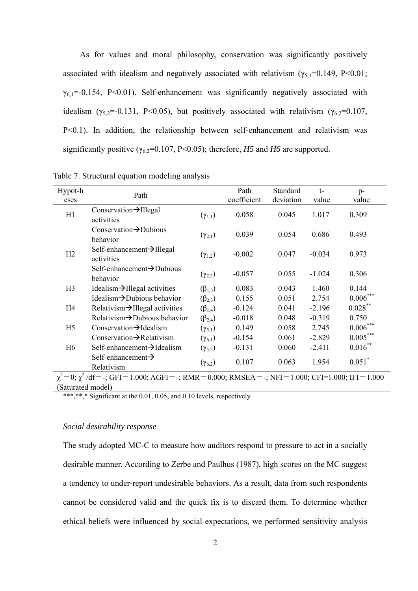As for values and moral philosophy, conservation was significantly positively associated with idealism and negatively associated with relativism ( $\gamma_{5,1}=0.149$ , P<0.01;  $\gamma_{6,1}$ =-0.154, P<0.01). Self-enhancement was significantly negatively associated with idealism ( $\gamma_{5,2}$ =-0.131, P<0.05), but positively associated with relativism ( $\gamma_{6,2}$ =0.107, P<0.1). In addition, the relationship between self-enhancement and relativism was significantly positive ( $\gamma_{6,2}$ =0.107, P<0.05); therefore, *H5* and *H6* are supported.

| Hypot-h<br>eses                                                                                                       | Path                                                 |                    | Path<br>coefficient | Standard<br>deviation | $t-$<br>value | $p-$<br>value        |  |
|-----------------------------------------------------------------------------------------------------------------------|------------------------------------------------------|--------------------|---------------------|-----------------------|---------------|----------------------|--|
| H1                                                                                                                    | Conservation $\rightarrow$ Illegal<br>activities     | $(\gamma_{1,1})$   | 0.058               | 0.045                 | 1.017         | 0.309                |  |
|                                                                                                                       | Conservation $\rightarrow$ Dubious<br>behavior       | $(\gamma_{2,1})$   | 0.039               | 0.054                 | 0.686         | 0.493                |  |
| H2                                                                                                                    | Self-enhancement $\rightarrow$ Illegal<br>activities | $({\gamma}_{1,2})$ | $-0.002$            | 0.047                 | $-0.034$      | 0.973                |  |
|                                                                                                                       | Self-enhancement $\rightarrow$ Dubious<br>behavior   | $(\gamma_{2,2})$   | $-0.057$            | 0.055                 | $-1.024$      | 0.306                |  |
| H <sub>3</sub>                                                                                                        | Idealism $\rightarrow$ Illegal activities            | $(\beta_{1,3})$    | 0.083               | 0.043                 | 1.460         | 0.144                |  |
|                                                                                                                       | Idealism $\rightarrow$ Dubious behavior              | $(\beta_{2,3})$    | 0.155               | 0.051                 | 2.754         | $0.006***$           |  |
| H <sub>4</sub>                                                                                                        | Relativism $\rightarrow$ Illegal activities          | $(\beta_{1,4})$    | $-0.124$            | 0.041                 | $-2.196$      | $0.028***$           |  |
|                                                                                                                       | Relativism $\rightarrow$ Dubious behavior            | $(\beta_{2,4})$    | $-0.018$            | 0.048                 | $-0.319$      | 0.750                |  |
| H <sub>5</sub>                                                                                                        | Conservation $\rightarrow$ Idealism                  | $(\gamma_{5,1})$   | 0.149               | 0.058                 | 2.745         | $0.006***$           |  |
|                                                                                                                       | Conservation $\rightarrow$ Relativism                | $(\gamma_{6,1})$   | $-0.154$            | 0.061                 | $-2.829$      | $0.005***$           |  |
| H <sub>6</sub>                                                                                                        | $Self-enhancement \rightarrow Idealism$              | $(\gamma_{5,2})$   | $-0.131$            | 0.060                 | $-2.411$      | $0.016***$           |  |
|                                                                                                                       | Self-enhancement $\rightarrow$<br>Relativism         | $(\gamma_{6,2})$   | 0.107               | 0.063                 | 1.954         | $0.051$ <sup>*</sup> |  |
| $\chi^2 = 0$ ; $\chi^2$ /df = -; GFI = 1.000; AGFI = -; RMR = 0.000; RMSEA = -; NFI = 1.000; CFI = 1.000; IFI = 1.000 |                                                      |                    |                     |                       |               |                      |  |
| (Saturated model)                                                                                                     |                                                      |                    |                     |                       |               |                      |  |

Table 7. Structural equation modeling analysis

\*\*\*,\*\*,\* Significant at the 0.01, 0.05, and 0.10 levels, respectively.

#### *Social desirability response*

The study adopted MC-C to measure how auditors respond to pressure to act in a socially desirable manner. According to Zerbe and Paulhus (1987), high scores on the MC suggest a tendency to under-report undesirable behaviors. As a result, data from such respondents cannot be considered valid and the quick fix is to discard them. To determine whether ethical beliefs were influenced by social expectations, we performed sensitivity analysis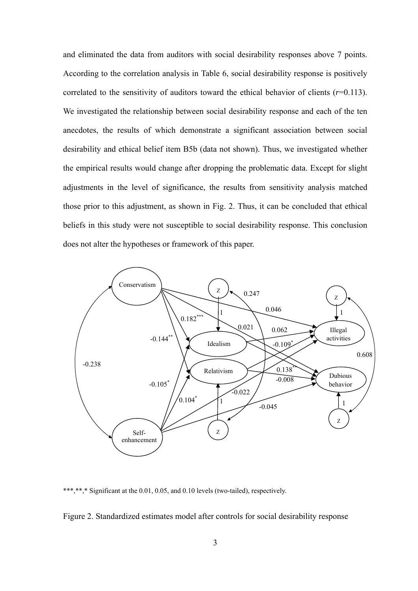and eliminated the data from auditors with social desirability responses above 7 points. According to the correlation analysis in Table 6, social desirability response is positively correlated to the sensitivity of auditors toward the ethical behavior of clients  $(r=0.113)$ . We investigated the relationship between social desirability response and each of the ten anecdotes, the results of which demonstrate a significant association between social desirability and ethical belief item B5b (data not shown). Thus, we investigated whether the empirical results would change after dropping the problematic data. Except for slight adjustments in the level of significance, the results from sensitivity analysis matched those prior to this adjustment, as shown in Fig. 2. Thus, it can be concluded that ethical beliefs in this study were not susceptible to social desirability response. This conclusion does not alter the hypotheses or framework of this paper.



\*\*,\* Significant at the 0.01, 0.05, and 0.10 levels (two-tailed), respectively.

Figure 2. Standardized estimates model after controls for social desirability response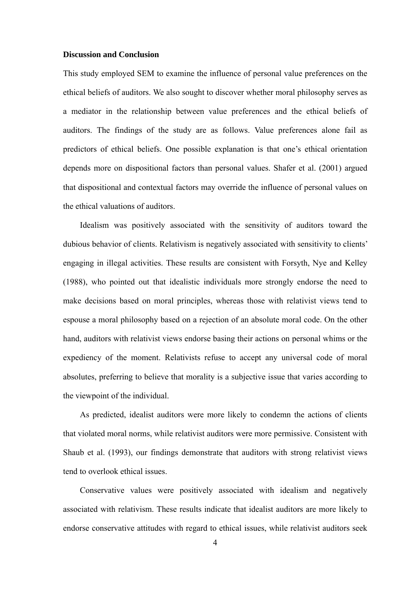## **Discussion and Conclusion**

This study employed SEM to examine the influence of personal value preferences on the ethical beliefs of auditors. We also sought to discover whether moral philosophy serves as a mediator in the relationship between value preferences and the ethical beliefs of auditors. The findings of the study are as follows. Value preferences alone fail as predictors of ethical beliefs. One possible explanation is that one's ethical orientation depends more on dispositional factors than personal values. Shafer et al. (2001) argued that dispositional and contextual factors may override the influence of personal values on the ethical valuations of auditors.

Idealism was positively associated with the sensitivity of auditors toward the dubious behavior of clients. Relativism is negatively associated with sensitivity to clients' engaging in illegal activities. These results are consistent with Forsyth, Nye and Kelley (1988), who pointed out that idealistic individuals more strongly endorse the need to make decisions based on moral principles, whereas those with relativist views tend to espouse a moral philosophy based on a rejection of an absolute moral code. On the other hand, auditors with relativist views endorse basing their actions on personal whims or the expediency of the moment. Relativists refuse to accept any universal code of moral absolutes, preferring to believe that morality is a subjective issue that varies according to the viewpoint of the individual.

 As predicted, idealist auditors were more likely to condemn the actions of clients that violated moral norms, while relativist auditors were more permissive. Consistent with Shaub et al. (1993), our findings demonstrate that auditors with strong relativist views tend to overlook ethical issues.

Conservative values were positively associated with idealism and negatively associated with relativism. These results indicate that idealist auditors are more likely to endorse conservative attitudes with regard to ethical issues, while relativist auditors seek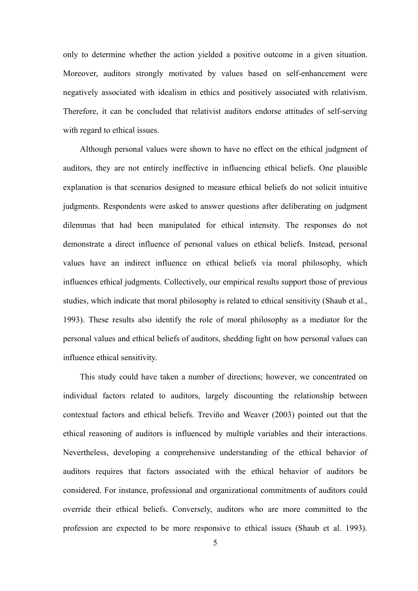only to determine whether the action yielded a positive outcome in a given situation. Moreover, auditors strongly motivated by values based on self-enhancement were negatively associated with idealism in ethics and positively associated with relativism. Therefore, it can be concluded that relativist auditors endorse attitudes of self-serving with regard to ethical issues.

Although personal values were shown to have no effect on the ethical judgment of auditors, they are not entirely ineffective in influencing ethical beliefs. One plausible explanation is that scenarios designed to measure ethical beliefs do not solicit intuitive judgments. Respondents were asked to answer questions after deliberating on judgment dilemmas that had been manipulated for ethical intensity. The responses do not demonstrate a direct influence of personal values on ethical beliefs. Instead, personal values have an indirect influence on ethical beliefs via moral philosophy, which influences ethical judgments. Collectively, our empirical results support those of previous studies, which indicate that moral philosophy is related to ethical sensitivity (Shaub et al., 1993). These results also identify the role of moral philosophy as a mediator for the personal values and ethical beliefs of auditors, shedding light on how personal values can influence ethical sensitivity.

This study could have taken a number of directions; however, we concentrated on individual factors related to auditors, largely discounting the relationship between contextual factors and ethical beliefs. Treviño and Weaver (2003) pointed out that the ethical reasoning of auditors is influenced by multiple variables and their interactions. Nevertheless, developing a comprehensive understanding of the ethical behavior of auditors requires that factors associated with the ethical behavior of auditors be considered. For instance, professional and organizational commitments of auditors could override their ethical beliefs. Conversely, auditors who are more committed to the profession are expected to be more responsive to ethical issues (Shaub et al. 1993).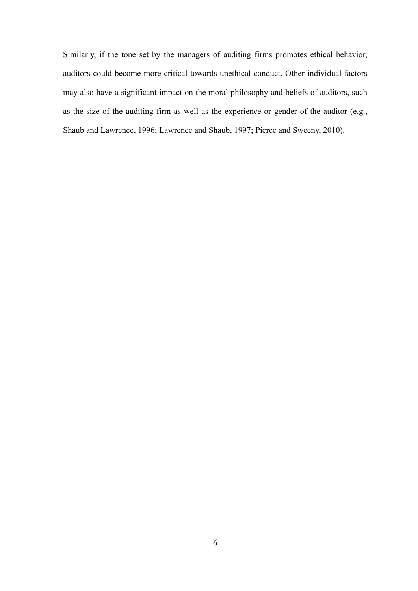Similarly, if the tone set by the managers of auditing firms promotes ethical behavior, auditors could become more critical towards unethical conduct. Other individual factors may also have a significant impact on the moral philosophy and beliefs of auditors, such as the size of the auditing firm as well as the experience or gender of the auditor (e.g., Shaub and Lawrence, 1996; Lawrence and Shaub, 1997; Pierce and Sweeny, 2010).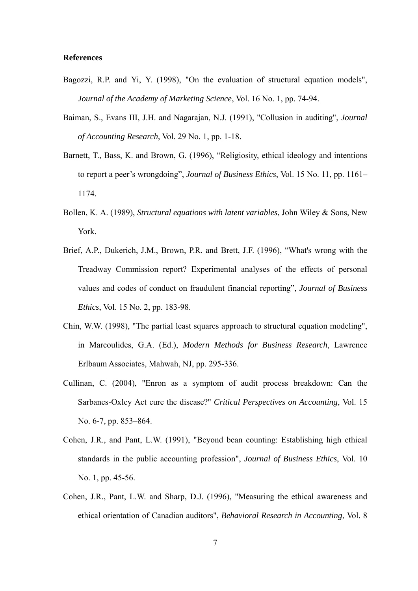# **References**

- Bagozzi, R.P. and Yi, Y. (1998), "On the evaluation of structural equation models", *Journal of the Academy of Marketing Science*, Vol. 16 No. 1, pp. 74-94.
- Baiman, S., Evans III, J.H. and Nagarajan, N.J. (1991), "Collusion in auditing", *Journal of Accounting Research*, Vol. 29 No. 1, pp. 1-18.
- Barnett, T., Bass, K. and Brown, G. (1996), "Religiosity, ethical ideology and intentions to report a peer's wrongdoing", *Journal of Business Ethics*, Vol. 15 No. 11, pp. 1161– 1174.
- Bollen, K. A. (1989), *Structural equations with latent variables*, John Wiley & Sons, New York.
- Brief, A.P., Dukerich, J.M., Brown, P.R. and Brett, J.F. (1996), "What's wrong with the Treadway Commission report? Experimental analyses of the effects of personal values and codes of conduct on fraudulent financial reporting", *Journal of Business Ethics*, Vol. 15 No. 2, pp. 183-98.
- Chin, W.W. (1998), "The partial least squares approach to structural equation modeling", in Marcoulides, G.A. (Ed.), *Modern Methods for Business Research*, Lawrence Erlbaum Associates, Mahwah, NJ, pp. 295-336.
- Cullinan, C. (2004), "Enron as a symptom of audit process breakdown: Can the Sarbanes-Oxley Act cure the disease?" *Critical Perspectives on Accounting*, Vol. 15 No. 6-7, pp. 853–864.
- Cohen, J.R., and Pant, L.W. (1991), "Beyond bean counting: Establishing high ethical standards in the public accounting profession", *Journal of Business Ethics*, Vol. 10 No. 1, pp. 45-56.
- Cohen, J.R., Pant, L.W. and Sharp, D.J. (1996), "Measuring the ethical awareness and ethical orientation of Canadian auditors", *Behavioral Research in Accounting*, Vol. 8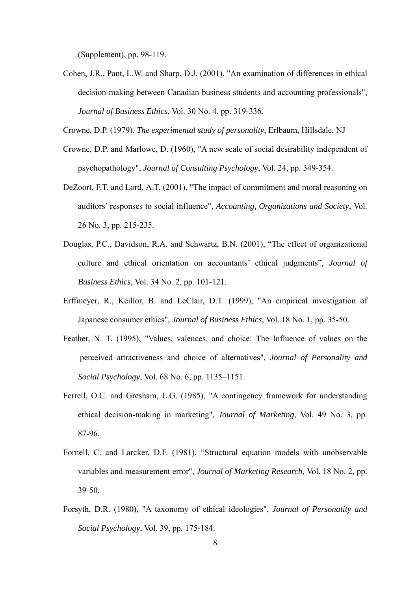(Supplement), pp. 98-119.

Cohen, J.R., Pant, L.W. and Sharp, D.J. (2001), "An examination of differences in ethical decision-making between Canadian business students and accounting professionals", *Journal of Business Ethics*, Vol. 30 No. 4, pp. 319-336.

Crowne, D.P. (1979), *The experimental study of personality*, Erlbaum, Hillsdale, NJ

- Crowne, D.P. and Marlowe, D. (1960), "A new scale of social desirability independent of psychopathology", *Journal of Consulting Psychology*, Vol. 24, pp. 349-354.
- DeZoort, F.T. and Lord, A.T. (2001), "The impact of commitment and moral reasoning on auditors' responses to social influence", *Accounting, Organizations and Society*, Vol. 26 No. 3, pp. 215-235.
- Douglas, P.C., Davidson, R.A. and Schwartz, B.N. (2001), "The effect of organizational culture and ethical orientation on accountants' ethical judgments", *Journal of Business Ethics*, Vol. 34 No. 2, pp. 101-121.
- Erffmeyer, R., Keillor, B. and LeClair, D.T. (1999), "An empirical investigation of Japanese consumer ethics", *Journal of Business Ethics*, Vol. 18 No. 1, pp. 35-50.
- Feather, N. T. (1995), "Values, valences, and choice: The Influence of values on the perceived attractiveness and choice of alternatives", *Journal of Personality and Social Psychology*, Vol. 68 No. 6, pp. 1135–1151.
- Ferrell, O.C. and Gresham, L.G. (1985), "A contingency framework for understanding ethical decision-making in marketing", *Journal of Marketing*, Vol. 49 No. 3, pp. 87-96.
- Fornell, C. and Larcker, D.F. (1981), "Structural equation models with unobservable variables and measurement error", *Journal of Marketing Research*, Vol. 18 No. 2, pp. 39-50.
- Forsyth, D.R. (1980), "A taxonomy of ethical ideologies", *Journal of Personality and Social Psychology*, Vol. 39, pp. 175-184.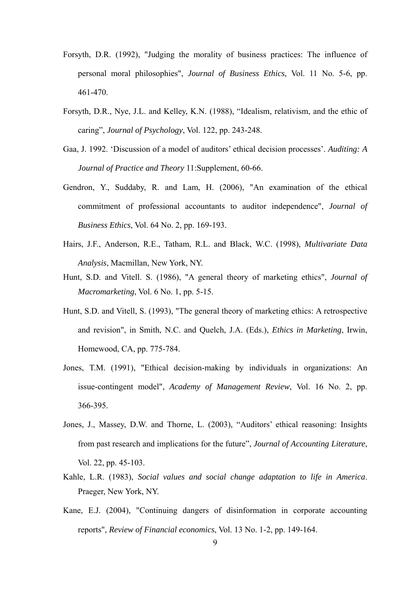- Forsyth, D.R. (1992), "Judging the morality of business practices: The influence of personal moral philosophies", *Journal of Business Ethics*, Vol. 11 No. 5-6, pp. 461-470.
- Forsyth, D.R., Nye, J.L. and Kelley, K.N. (1988), "Idealism, relativism, and the ethic of caring", *Journal of Psychology*, Vol. 122, pp. 243-248.
- Gaa, J. 1992. 'Discussion of a model of auditors' ethical decision processes'. *Auditing: A Journal of Practice and Theory* 11:Supplement, 60-66.
- Gendron, Y., Suddaby, R. and Lam, H. (2006), "An examination of the ethical commitment of professional accountants to auditor independence", *Journal of Business Ethics*, Vol. 64 No. 2, pp. 169-193.
- Hairs, J.F., Anderson, R.E., Tatham, R.L. and Black, W.C. (1998), *Multivariate Data Analysis*, Macmillan, New York, NY.
- Hunt, S.D. and Vitell. S. (1986), "A general theory of marketing ethics", *Journal of Macromarketing*, Vol. 6 No. 1, pp. 5-15.
- Hunt, S.D. and Vitell, S. (1993), "The general theory of marketing ethics: A retrospective and revision", in Smith, N.C. and Quelch, J.A. (Eds.), *Ethics in Marketing*, Irwin, Homewood, CA, pp. 775-784.
- Jones, T.M. (1991), "Ethical decision-making by individuals in organizations: An issue-contingent model", *Academy of Management Review*, Vol. 16 No. 2, pp. 366-395.
- Jones, J., Massey, D.W. and Thorne, L. (2003), "Auditors' ethical reasoning: Insights from past research and implications for the future", *Journal of Accounting Literature*, Vol. 22, pp. 45-103.
- Kahle, L.R. (1983), *Social values and social change adaptation to life in America*. Praeger, New York, NY.
- Kane, E.J. (2004), "Continuing dangers of disinformation in corporate accounting reports", *Review of Financial economics*, Vol. 13 No. 1-2, pp. 149-164.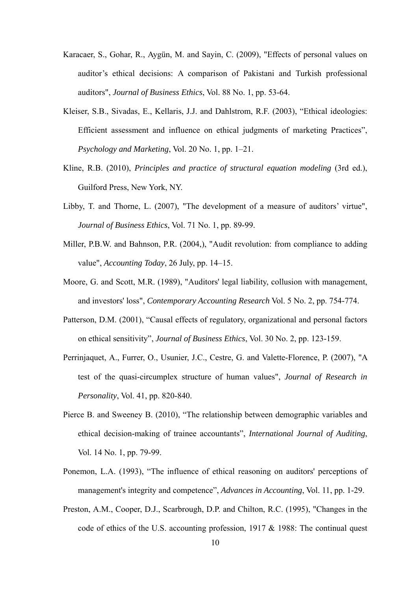- Karacaer, S., Gohar, R., Aygün, M. and Sayin, C. (2009), "Effects of personal values on auditor's ethical decisions: A comparison of Pakistani and Turkish professional auditors", *Journal of Business Ethics*, Vol. 88 No. 1, pp. 53-64.
- Kleiser, S.B., Sivadas, E., Kellaris, J.J. and Dahlstrom, R.F. (2003), "Ethical ideologies: Efficient assessment and influence on ethical judgments of marketing Practices", *Psychology and Marketing*, Vol. 20 No. 1, pp. 1–21.
- Kline, R.B. (2010), *Principles and practice of structural equation modeling* (3rd ed.), Guilford Press, New York, NY.
- Libby, T. and Thorne, L. (2007), "The development of a measure of auditors' virtue", *Journal of Business Ethics*, Vol. 71 No. 1, pp. 89-99.
- Miller, P.B.W. and Bahnson, P.R. (2004,), "Audit revolution: from compliance to adding value", *Accounting Today*, 26 July, pp. 14–15.
- Moore, G. and Scott, M.R. (1989), "Auditors' legal liability, collusion with management, and investors' loss", *Contemporary Accounting Research* Vol. 5 No. 2, pp. 754-774.
- Patterson, D.M. (2001), "Causal effects of regulatory, organizational and personal factors on ethical sensitivity", *Journal of Business Ethics*, Vol. 30 No. 2, pp. 123-159.
- Perrinjaquet, A., Furrer, O., Usunier, J.C., Cestre, G. and Valette-Florence, P. (2007), "A test of the quasi-circumplex structure of human values", *Journal of Research in Personality*, Vol. 41, pp. 820-840.
- Pierce B. and Sweeney B. (2010), "The relationship between demographic variables and ethical decision-making of trainee accountants", *International Journal of Auditing*, Vol. 14 No. 1, pp. 79-99.
- Ponemon, L.A. (1993), "The influence of ethical reasoning on auditors' perceptions of management's integrity and competence", *Advances in Accounting*, Vol. 11, pp. 1-29.
- Preston, A.M., Cooper, D.J., Scarbrough, D.P. and Chilton, R.C. (1995), "Changes in the code of ethics of the U.S. accounting profession, 1917 & 1988: The continual quest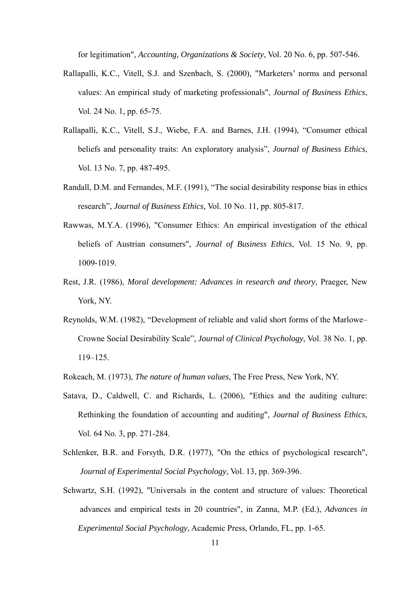for legitimation", *Accounting, Organizations & Society*, Vol. 20 No. 6, pp. 507-546.

- Rallapalli, K.C., Vitell, S.J. and Szenbach, S. (2000), "Marketers' norms and personal values: An empirical study of marketing professionals", *Journal of Business Ethics*, Vol. 24 No. 1, pp. 65-75.
- Rallapalli, K.C., Vitell, S.J., Wiebe, F.A. and Barnes, J.H. (1994), "Consumer ethical beliefs and personality traits: An exploratory analysis", *Journal of Business Ethics*, Vol. 13 No. 7, pp. 487-495.
- Randall, D.M. and Fernandes, M.F. (1991), "The social desirability response bias in ethics research", *Journal of Business Ethics*, Vol. 10 No. 11, pp. 805-817.
- Rawwas, M.Y.A. (1996), "Consumer Ethics: An empirical investigation of the ethical beliefs of Austrian consumers", *Journal of Business Ethics*, Vol. 15 No. 9, pp. 1009-1019.
- Rest, J.R. (1986), *Moral development: Advances in research and theory*, Praeger, New York, NY.
- Reynolds, W.M. (1982), "Development of reliable and valid short forms of the Marlowe– Crowne Social Desirability Scale", *Journal of Clinical Psychology*, Vol. 38 No. 1, pp. 119–125.
- Rokeach, M. (1973), *The nature of human values*, The Free Press, New York, NY.
- Satava, D., Caldwell, C. and Richards, L. (2006), "Ethics and the auditing culture: Rethinking the foundation of accounting and auditing", *Journal of Business Ethics*, Vol. 64 No. 3, pp. 271-284.
- Schlenker, B.R. and Forsyth, D.R. (1977), "On the ethics of psychological research", *Journal of Experimental Social Psychology*, Vol. 13, pp. 369-396.
- Schwartz, S.H. (1992), "Universals in the content and structure of values: Theoretical advances and empirical tests in 20 countries", in Zanna, M.P. (Ed.), *Advances in Experimental Social Psychology*, Academic Press, Orlando, FL, pp. 1-65.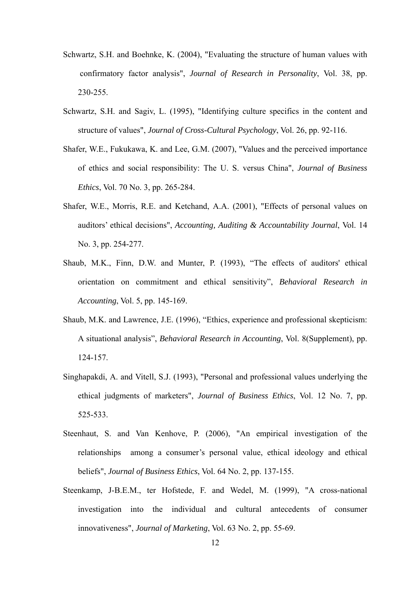- Schwartz, S.H. and Boehnke, K. (2004), "Evaluating the structure of human values with confirmatory factor analysis", *Journal of Research in Personality*, Vol. 38, pp. 230-255.
- Schwartz, S.H. and Sagiv, L. (1995), "Identifying culture specifics in the content and structure of values", *Journal of Cross-Cultural Psychology*, Vol. 26, pp. 92-116.
- Shafer, W.E., Fukukawa, K. and Lee, G.M. (2007), "Values and the perceived importance of ethics and social responsibility: The U. S. versus China", *Journal of Business Ethics*, Vol. 70 No. 3, pp. 265-284.
- Shafer, W.E., Morris, R.E. and Ketchand, A.A. (2001), "Effects of personal values on auditors' ethical decisions", *Accounting, Auditing & Accountability Journal*, Vol. 14 No. 3, pp. 254-277.
- Shaub, M.K., Finn, D.W. and Munter, P. (1993), "The effects of auditors' ethical orientation on commitment and ethical sensitivity", *Behavioral Research in Accounting*, Vol. 5, pp. 145-169.
- Shaub, M.K. and Lawrence, J.E. (1996), "Ethics, experience and professional skepticism: A situational analysis", *Behavioral Research in Accounting*, Vol. 8(Supplement), pp. 124-157.
- Singhapakdi, A. and Vitell, S.J. (1993), "Personal and professional values underlying the ethical judgments of marketers", *Journal of Business Ethics*, Vol. 12 No. 7, pp. 525-533.
- Steenhaut, S. and Van Kenhove, P. (2006), "An empirical investigation of the relationships among a consumer's personal value, ethical ideology and ethical beliefs", *Journal of Business Ethics*, Vol. 64 No. 2, pp. 137-155.
- Steenkamp, J-B.E.M., ter Hofstede, F. and Wedel, M. (1999), "A cross-national investigation into the individual and cultural antecedents of consumer innovativeness", *Journal of Marketing*, Vol. 63 No. 2, pp. 55-69.